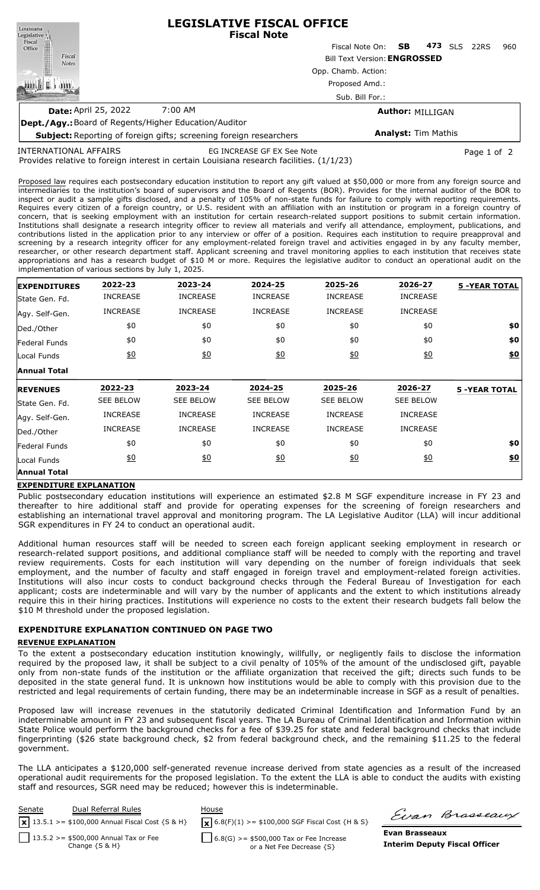**LEGISLATIVE FISCAL OFFICE** Louisiana **Fiscal Note** Legislative<sup>1</sup> Fiscal ∰ Fiscal Note On: **SB 473** SLS 22RS 960 Office Fiscal Bill Text Version:**ENGROSSED Notes** Opp. Chamb. Action: 咖啡! Proposed Amd.: **I ABBIT** Sub. Bill For.: **Date:** April 25, 2022 7:00 AM **Author:** MILLIGAN **Dept./Agy.:** Board of Regents/Higher Education/Auditor **Analyst:** Tim Mathis **Subject:** Reporting of foreign gifts; screening foreign researchers

INTERNATIONAL AFFAIRS

EG INCREASE GF EX See Note **Page 1 of 2** Page 1 of 2

Provides relative to foreign interest in certain Louisiana research facilities. (1/1/23)

Proposed law requires each postsecondary education institution to report any gift valued at \$50,000 or more from any foreign source and intermediaries to the institution's board of supervisors and the Board of Regents (BOR). Provides for the internal auditor of the BOR to inspect or audit a sample gifts disclosed, and a penalty of 105% of non-state funds for failure to comply with reporting requirements. Requires every citizen of a foreign country, or U.S. resident with an affiliation with an institution or program in a foreign country of concern, that is seeking employment with an institution for certain research-related support positions to submit certain information. Institutions shall designate a research integrity officer to review all materials and verify all attendance, employment, publications, and contributions listed in the application prior to any interview or offer of a position. Requires each institution to require preapproval and screening by a research integrity officer for any employment-related foreign travel and activities engaged in by any faculty member, researcher, or other research department staff. Applicant screening and travel monitoring applies to each institution that receives state appropriations and has a research budget of \$10 M or more. Requires the legislative auditor to conduct an operational audit on the implementation of various sections by July 1, 2025.

| <b>EXPENDITURES</b> | 2022-23          | 2023-24           | 2024-25          | 2025-26          | 2026-27          | <b>5 -YEAR TOTAL</b> |
|---------------------|------------------|-------------------|------------------|------------------|------------------|----------------------|
| State Gen. Fd.      | <b>INCREASE</b>  | <b>INCREASE</b>   | <b>INCREASE</b>  | <b>INCREASE</b>  | <b>INCREASE</b>  |                      |
| Agy. Self-Gen.      | <b>INCREASE</b>  | <b>INCREASE</b>   | <b>INCREASE</b>  | <b>INCREASE</b>  | <b>INCREASE</b>  |                      |
| Ded./Other          | \$0              | \$0               | \$0              | \$0              | \$0              | \$0                  |
| Federal Funds       | \$0              | \$0               | \$0              | \$0              | \$0              | \$0                  |
| Local Funds         | 60               | $\underline{\$0}$ | 60               | 60               | $\underline{50}$ | \$0                  |
| <b>Annual Total</b> |                  |                   |                  |                  |                  |                      |
| <b>REVENUES</b>     | 2022-23          | 2023-24           | 2024-25          | 2025-26          | 2026-27          | <b>5 -YEAR TOTAL</b> |
| lState Gen. Fd.     | <b>SEE BELOW</b> | <b>SEE BELOW</b>  | <b>SEE BELOW</b> | <b>SEE BELOW</b> | <b>SEE BELOW</b> |                      |
| Agy. Self-Gen.      | <b>INCREASE</b>  | <b>INCREASE</b>   | <b>INCREASE</b>  | <b>INCREASE</b>  | <b>INCREASE</b>  |                      |
| Ded./Other          | <b>INCREASE</b>  | <b>INCREASE</b>   | <b>INCREASE</b>  | <b>INCREASE</b>  | <b>INCREASE</b>  |                      |
| Federal Funds       | \$0              | \$0               | \$0              | \$0              | \$0              | \$0                  |
| Local Funds         | $\underline{50}$ |                   | 60               | 60               | $\underline{50}$ | <u>\$0</u>           |
|                     |                  | 60                |                  |                  |                  |                      |

# **EXPENDITURE EXPLANATION**

Public postsecondary education institutions will experience an estimated \$2.8 M SGF expenditure increase in FY 23 and thereafter to hire additional staff and provide for operating expenses for the screening of foreign researchers and establishing an international travel approval and monitoring program. The LA Legislative Auditor (LLA) will incur additional SGR expenditures in FY 24 to conduct an operational audit.

Additional human resources staff will be needed to screen each foreign applicant seeking employment in research or research-related support positions, and additional compliance staff will be needed to comply with the reporting and travel review requirements. Costs for each institution will vary depending on the number of foreign individuals that seek employment, and the number of faculty and staff engaged in foreign travel and employment-related foreign activities. Institutions will also incur costs to conduct background checks through the Federal Bureau of Investigation for each applicant; costs are indeterminable and will vary by the number of applicants and the extent to which institutions already require this in their hiring practices. Institutions will experience no costs to the extent their research budgets fall below the \$10 M threshold under the proposed legislation.

# **EXPENDITURE EXPLANATION CONTINUED ON PAGE TWO**

### **REVENUE EXPLANATION**

To the extent a postsecondary education institution knowingly, willfully, or negligently fails to disclose the information required by the proposed law, it shall be subject to a civil penalty of 105% of the amount of the undisclosed gift, payable only from non-state funds of the institution or the affiliate organization that received the gift; directs such funds to be deposited in the state general fund. It is unknown how institutions would be able to comply with this provision due to the restricted and legal requirements of certain funding, there may be an indeterminable increase in SGF as a result of penalties.

Proposed law will increase revenues in the statutorily dedicated Criminal Identification and Information Fund by an indeterminable amount in FY 23 and subsequent fiscal years. The LA Bureau of Criminal Identification and Information within State Police would perform the background checks for a fee of \$39.25 for state and federal background checks that include fingerprinting (\$26 state background check, \$2 from federal background check, and the remaining \$11.25 to the federal government.

The LLA anticipates a \$120,000 self-generated revenue increase derived from state agencies as a result of the increased operational audit requirements for the proposed legislation. To the extent the LLA is able to conduct the audits with existing staff and resources, SGR need may be reduced; however this is indeterminable.



Evan Brasseaux

**Evan Brasseaux Interim Deputy Fiscal Officer**